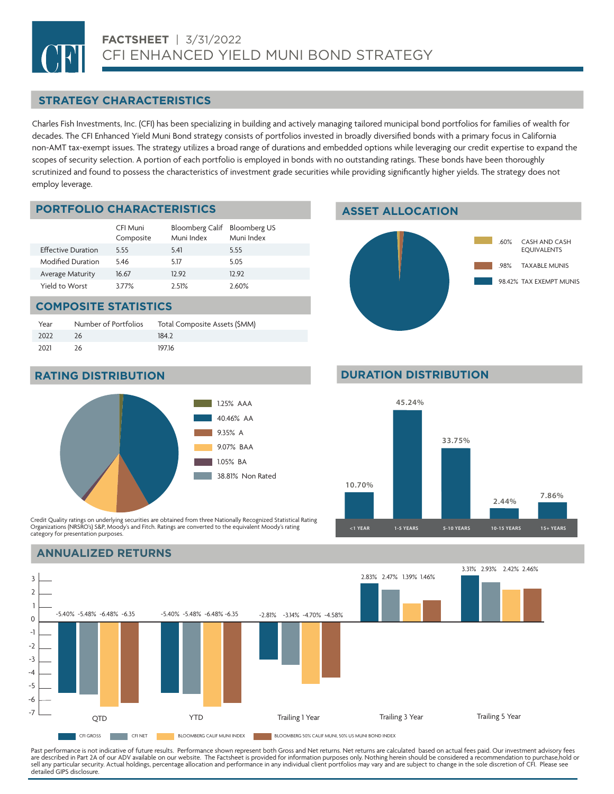## **STRATEGY CHARACTERISTICS**

Charles Fish Investments, Inc. (CFI) has been specializing in building and actively managing tailored municipal bond portfolios for families of wealth for decades. The CFI Enhanced Yield Muni Bond strategy consists of portfolios invested in broadly diversified bonds with a primary focus in California non-AMT tax-exempt issues. The strategy utilizes a broad range of durations and embedded options while leveraging our credit expertise to expand the scopes of security selection. A portion of each portfolio is employed in bonds with no outstanding ratings. These bonds have been thoroughly scrutinized and found to possess the characteristics of investment grade securities while providing significantly higher yields. The strategy does not employ leverage.

## **PORTFOLIO CHARACTERISTICS ASSET ALLOCATION**

|                           | CFI Muni<br>Composite | Bloomberg Calif Bloomberg US<br>Muni Index | Muni Index |
|---------------------------|-----------------------|--------------------------------------------|------------|
| <b>Effective Duration</b> | 555                   | 5.41                                       | 5.55       |
| Modified Duration         | 546                   | 5.17                                       | 5.05       |
| <b>Average Maturity</b>   | 16.67                 | 12.92                                      | 12.92      |
| Yield to Worst            | 377%                  | 2.51%                                      | 2.60%      |

### **COMPOSITE STATISTICS**

| Year | Number of Portfolios | Total Composite Assets (\$MM) |
|------|----------------------|-------------------------------|
| 2022 | 26                   | 184 2                         |
| 2021 | 26                   | 197.16                        |





**RATING DISTRIBUTION DURATION DURATION DISTRIBUTION** 



Credit Quality ratings on underlying securities are obtained from three Nationally Recognized Statistical Rating Organizations (NRSRO's) S&P, Moody's and Fitch. Ratings are converted to the equivalent Moody's rating category for presentation purposes.

## **ANNUALIZED RETURNS**



Past performance is not indicative of future results. Performance shown represent both Gross and Net returns. Net returns are calculated based on actual fees paid. Our investment advisory fees are described in Part 2A of our ADV available on our website. The Factsheet is provided for information purposes only. Nothing herein should be considered a recommendation to purchase,hold or<br>sell any particular security. detailed GIPS disclosure.